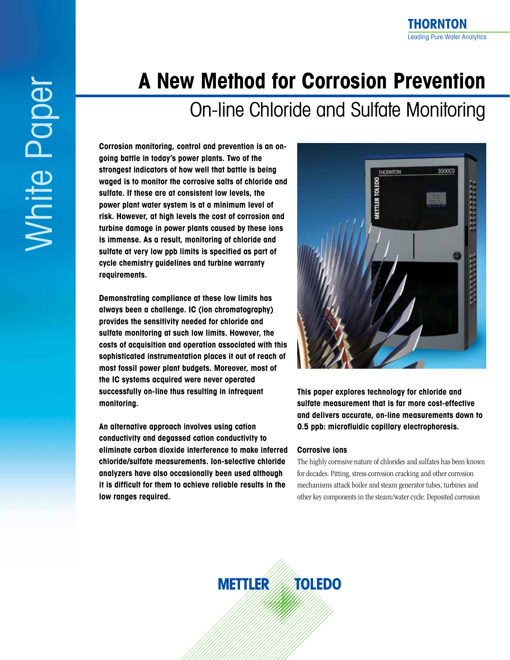# **A New Method for Corrosion Prevention**

## On-line Chloride and Sulfate Monitoring

**Corrosion monitoring, control and prevention is an ongoing battle in today's power plants. Two of the strongest indicators of how well that battle is being waged is to monitor the corrosive salts of chloride and sulfate. If these are at consistent low levels, the power plant water system is at a minimum level of risk. However, at high levels the cost of corrosion and turbine damage in power plants caused by these ions is immense. As a result, monitoring of chloride and sulfate at very low ppb limits is specified as part of cycle chemistry guidelines and turbine warranty requirements.** 

**Demonstrating compliance at these low limits has always been a challenge. IC (ion chromatography) provides the sensitivity needed for chloride and sulfate monitoring at such low limits. However, the costs of acquisition and operation associated with this sophisticated instrumentation places it out of reach of most fossil power plant budgets. Moreover, most of the IC systems acquired were never operated successfully on-line thus resulting in infrequent monitoring.**

**An alternative approach involves using cation conductivity and degassed cation conductivity to eliminate carbon dioxide interference to make inferred chloride/sulfate measurements. Ion-selective chloride analyzers have also occasionally been used although it is difficult for them to achieve reliable results in the low ranges required.**



**THORNTON**

Leading Pure Water Analytics

**This paper explores technology for chloride and sulfate measurement that is far more cost-effective and delivers accurate, on-line measurements down to 0.5 ppb: microfluidic capillary electrophoresis.** 

#### **Corrosive ions**

The highly corrosive nature of chlorides and sulfates has been known for decades. Pitting, stress corrosion cracking and other corrosion mechanisms attack boiler and steam generator tubes, turbines and other key components in the steam/water cycle. Deposited corrosion

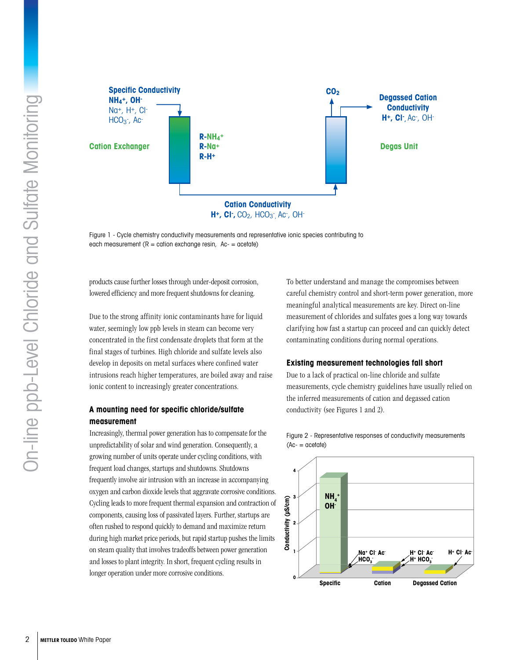

Figure 1 - Cycle chemistry conductivity measurements and representative ionic species contributing to each measurement  $(R = cation exchange resin, Ac = acetate)$ 

products cause further losses through under-deposit corrosion, lowered efficiency and more frequent shutdowns for cleaning.

Due to the strong affinity ionic contaminants have for liquid water, seemingly low ppb levels in steam can become very concentrated in the first condensate droplets that form at the final stages of turbines. High chloride and sulfate levels also develop in deposits on metal surfaces where confined water intrusions reach higher temperatures, are boiled away and raise ionic content to increasingly greater concentrations.

### **A mounting need for specific chloride/sulfate measurement**

Increasingly, thermal power generation has to compensate for the unpredictability of solar and wind generation. Consequently, a growing number of units operate under cycling conditions, with frequent load changes, startups and shutdowns. Shutdowns frequently involve air intrusion with an increase in accompanying oxygen and carbon dioxide levels that aggravate corrosive conditions. Cycling leads to more frequent thermal expansion and contraction of components, causing loss of passivated layers. Further, startups are often rushed to respond quickly to demand and maximize return during high market price periods, but rapid startup pushes the limits on steam quality that involves tradeoffs between power generation and losses to plant integrity. In short, frequent cycling results in longer operation under more corrosive conditions.

To better understand and manage the compromises between careful chemistry control and short-term power generation, more meaningful analytical measurements are key. Direct on-line measurement of chlorides and sulfates goes a long way towards clarifying how fast a startup can proceed and can quickly detect contaminating conditions during normal operations.

#### **Existing measurement technologies fall short**

Due to a lack of practical on-line chloride and sulfate measurements, cycle chemistry guidelines have usually relied on the inferred measurements of cation and degassed cation conductivity (see Figures 1 and 2).



Figure 2 - Representative responses of conductivity measurements  $(Ac - c)$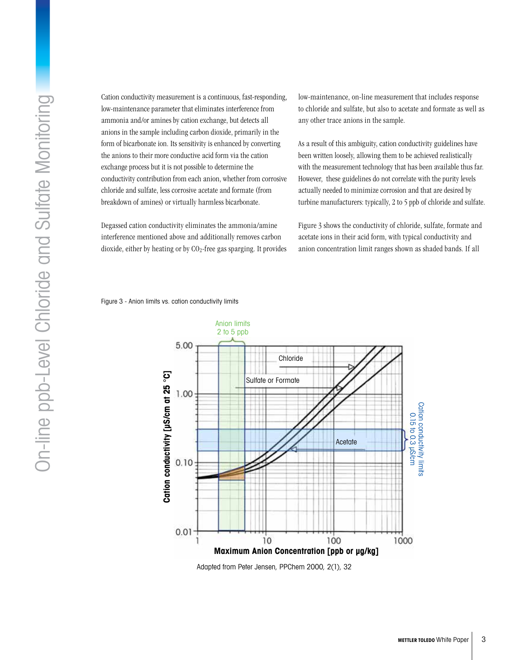Cation conductivity measurement is a continuous, fast-responding, low-maintenance parameter that eliminates interference from ammonia and/or amines by cation exchange, but detects all anions in the sample including carbon dioxide, primarily in the form of bicarbonate ion. Its sensitivity is enhanced by converting the anions to their more conductive acid form via the cation exchange process but it is not possible to determine the conductivity contribution from each anion, whether from corrosive chloride and sulfate, less corrosive acetate and formate (from breakdown of amines) or virtually harmless bicarbonate.

Degassed cation conductivity eliminates the ammonia/amine interference mentioned above and additionally removes carbon dioxide, either by heating or by  $CO<sub>2</sub>$ -free gas sparging. It provides low-maintenance, on-line measurement that includes response to chloride and sulfate, but also to acetate and formate as well as any other trace anions in the sample.

As a result of this ambiguity, cation conductivity guidelines have been written loosely, allowing them to be achieved realistically with the measurement technology that has been available thus far. However, these guidelines do not correlate with the purity levels actually needed to minimize corrosion and that are desired by turbine manufacturers: typically, 2 to 5 ppb of chloride and sulfate.

Figure 3 shows the conductivity of chloride, sulfate, formate and acetate ions in their acid form, with typical conductivity and anion concentration limit ranges shown as shaded bands. If all

Figure 3 - Anion limits vs. cation conductivity limits



Adapted from Peter Jensen, PPChem 2000, 2(1), 32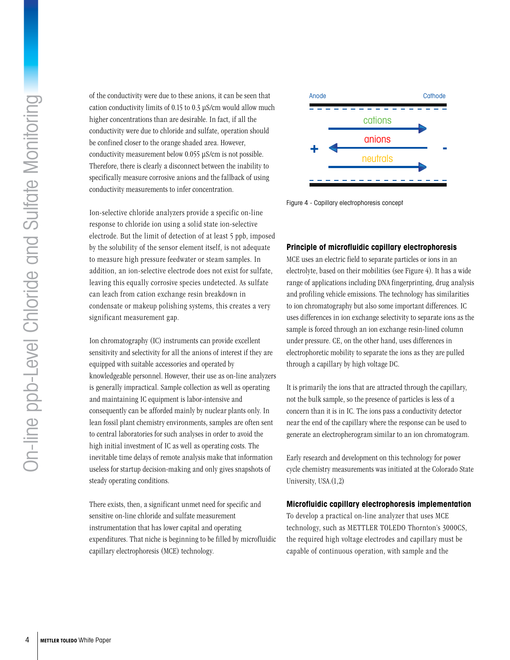of the conductivity were due to these anions, it can be seen that cation conductivity limits of 0.15 to 0.3 µS/cm would allow much higher concentrations than are desirable. In fact, if all the conductivity were due to chloride and sulfate, operation should be confined closer to the orange shaded area. However, conductivity measurement below 0.055 µS/cm is not possible. Therefore, there is clearly a disconnect between the inability to specifically measure corrosive anions and the fallback of using conductivity measurements to infer concentration.

Ion-selective chloride analyzers provide a specific on-line response to chloride ion using a solid state ion-selective electrode. But the limit of detection of at least 5 ppb, imposed by the solubility of the sensor element itself, is not adequate to measure high pressure feedwater or steam samples. In addition, an ion-selective electrode does not exist for sulfate, leaving this equally corrosive species undetected. As sulfate can leach from cation exchange resin breakdown in condensate or makeup polishing systems, this creates a very significant measurement gap.

Ion chromatography (IC) instruments can provide excellent sensitivity and selectivity for all the anions of interest if they are equipped with suitable accessories and operated by knowledgeable personnel. However, their use as on-line analyzers is generally impractical. Sample collection as well as operating and maintaining IC equipment is labor-intensive and consequently can be afforded mainly by nuclear plants only. In lean fossil plant chemistry environments, samples are often sent to central laboratories for such analyses in order to avoid the high initial investment of IC as well as operating costs. The inevitable time delays of remote analysis make that information useless for startup decision-making and only gives snapshots of steady operating conditions.

There exists, then, a significant unmet need for specific and sensitive on-line chloride and sulfate measurement instrumentation that has lower capital and operating expenditures. That niche is beginning to be filled by microfluidic capillary electrophoresis (MCE) technology.



Figure 4 - Capillary electrophoresis concept

#### **Principle of microfluidic capillary electrophoresis**

MCE uses an electric field to separate particles or ions in an electrolyte, based on their mobilities (see Figure 4). It has a wide range of applications including DNA fingerprinting, drug analysis and profiling vehicle emissions. The technology has similarities to ion chromatography but also some important differences. IC uses differences in ion exchange selectivity to separate ions as the sample is forced through an ion exchange resin-lined column under pressure. CE, on the other hand, uses differences in electrophoretic mobility to separate the ions as they are pulled through a capillary by high voltage DC.

It is primarily the ions that are attracted through the capillary, not the bulk sample, so the presence of particles is less of a concern than it is in IC. The ions pass a conductivity detector near the end of the capillary where the response can be used to generate an electropherogram similar to an ion chromatogram.

Early research and development on this technology for power cycle chemistry measurements was initiated at the Colorado State University, USA.(1,2)

#### **Microfluidic capillary electrophoresis implementation**

To develop a practical on-line analyzer that uses MCE technology, such as METTLER TOLEDO Thornton's 3000CS, the required high voltage electrodes and capillary must be capable of continuous operation, with sample and the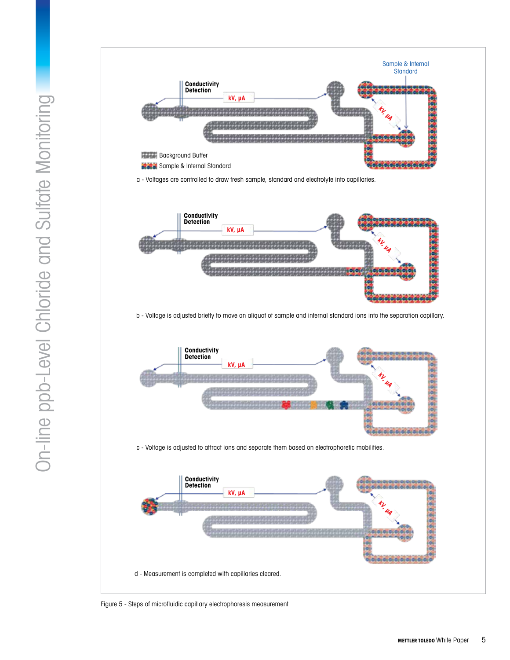

d - Measurement is completed with capillaries cleared.

Figure 5 - Steps of microfluidic capillary electrophoresis measurement

**kV, µA**

**kV, µA**

 $\sigma$  of  $\sigma$  or

**kV, µA**

0,0,0,0,0,0,0,0,0

**kV, µA**

0.0.0.0.0.0.0.0

Sample & Internal **Standard** 

 $0,0,0,0,0,0,0,0,0,0,0,$ 

COCO.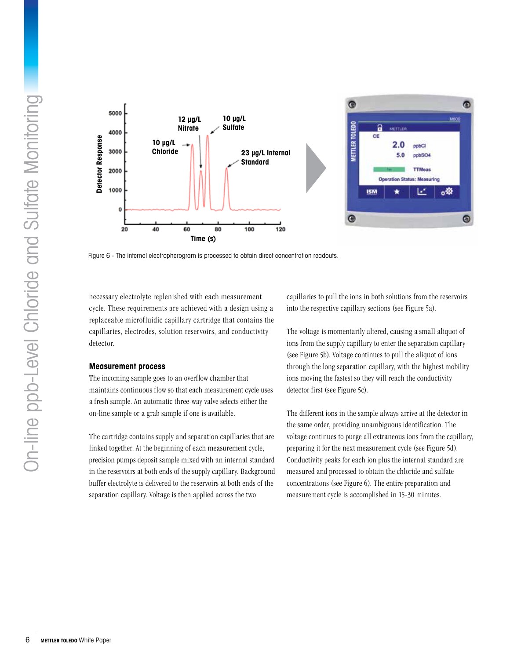

Figure 6 - The internal electropherogram is processed to obtain direct concentration readouts.

necessary electrolyte replenished with each measurement cycle. These requirements are achieved with a design using a replaceable microfluidic capillary cartridge that contains the capillaries, electrodes, solution reservoirs, and conductivity detector.

#### **Measurement process**

The incoming sample goes to an overflow chamber that maintains continuous flow so that each measurement cycle uses a fresh sample. An automatic three-way valve selects either the on-line sample or a grab sample if one is available.

The cartridge contains supply and separation capillaries that are linked together. At the beginning of each measurement cycle, precision pumps deposit sample mixed with an internal standard in the reservoirs at both ends of the supply capillary. Background buffer electrolyte is delivered to the reservoirs at both ends of the separation capillary. Voltage is then applied across the two

capillaries to pull the ions in both solutions from the reservoirs into the respective capillary sections (see Figure 5a).

The voltage is momentarily altered, causing a small aliquot of ions from the supply capillary to enter the separation capillary (see Figure 5b). Voltage continues to pull the aliquot of ions through the long separation capillary, with the highest mobility ions moving the fastest so they will reach the conductivity detector first (see Figure 5c).

The different ions in the sample always arrive at the detector in the same order, providing unambiguous identification. The voltage continues to purge all extraneous ions from the capillary, preparing it for the next measurement cycle (see Figure 5d). Conductivity peaks for each ion plus the internal standard are measured and processed to obtain the chloride and sulfate concentrations (see Figure 6). The entire preparation and measurement cycle is accomplished in 15-30 minutes.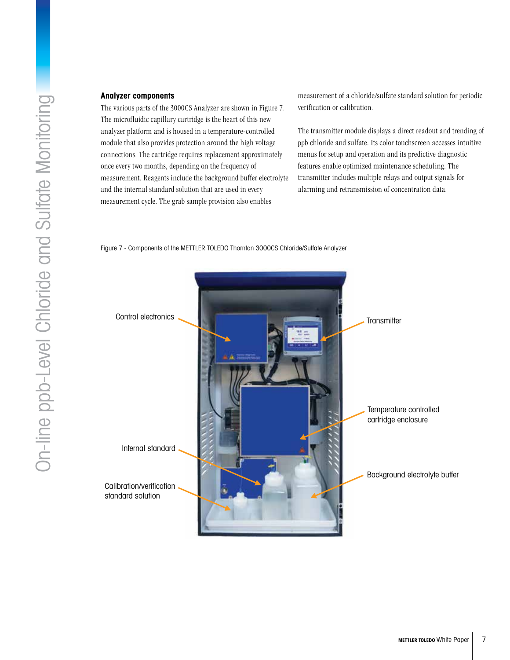#### **Analyzer components**

The various parts of the 3000CS Analyzer are shown in Figure 7. The microfluidic capillary cartridge is the heart of this new analyzer platform and is housed in a temperature-controlled module that also provides protection around the high voltage connections. The cartridge requires replacement approximately once every two months, depending on the frequency of measurement. Reagents include the background buffer electrolyte and the internal standard solution that are used in every measurement cycle. The grab sample provision also enables

measurement of a chloride/sulfate standard solution for periodic verification or calibration.

The transmitter module displays a direct readout and trending of ppb chloride and sulfate. Its color touchscreen accesses intuitive menus for setup and operation and its predictive diagnostic features enable optimized maintenance scheduling. The transmitter includes multiple relays and output signals for alarming and retransmission of concentration data.

Figure 7 - Components of the METTLER TOLEDO Thornton 3000CS Chloride/Sulfate Analyzer